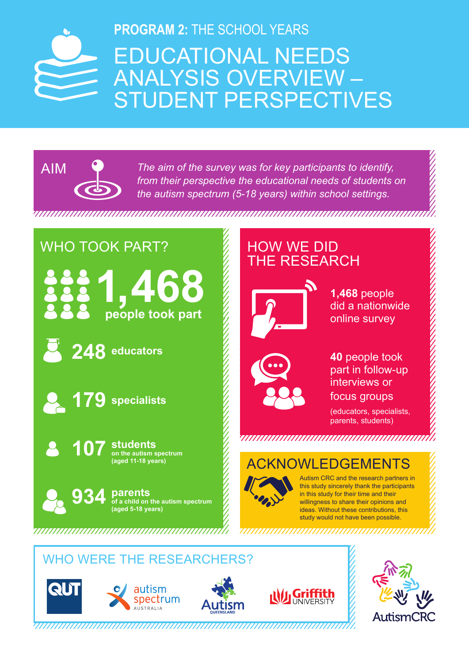# EDUCATIONAL NEEDS ANALYSIS OVERVIEW – STUDENT PERSPECTIVES **PROGRAM 2:** THE SCHOOL YEARS



*The aim of the survey was for key participants to identify, from their perspective the educational needs of students on the autism spectrum (5-18 years) within school settings.* 

# WHO TOOK PART?

**people took part 1,468**

**248 educators**



**107 students on the autism spectrum (aged 11-18 years)**



# HOW WE DID THE RESEARCH



**1,468** people did a nationwide online survey



**40** people took part in follow-up interviews or focus groups

(educators, specialists, parents, students)

# 

## ACKNOWLEDGEMENTS



Autism CRC and the research partners in this study sincerely thank the participants in this study for their time and their willingness to share their opinions and ideas. Without these contributions, this study would not have been possible.